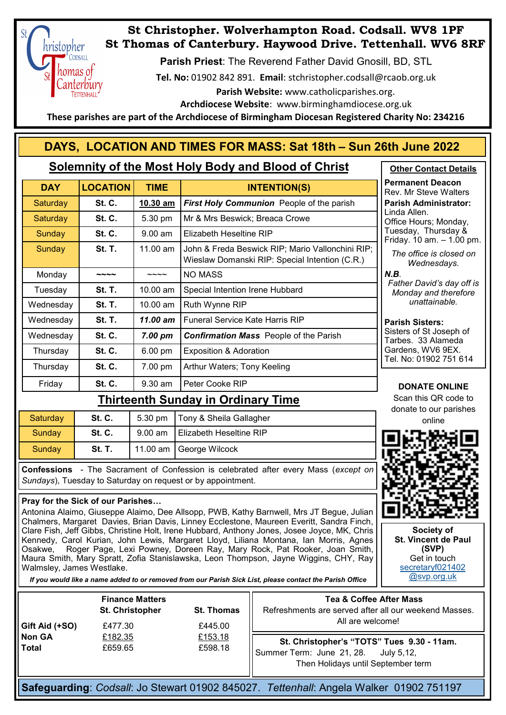

# **St Christopher. Wolverhampton Road. Codsall. WV8 1PF St Thomas of Canterbury. Haywood Drive. Tettenhall. WV6 8RF**

**Parish Priest**: The Reverend Father David Gnosill, BD, STL

**Tel. No:** 01902 842 891. **Email**: stchristopher.codsall@rcaob.org.uk

 **Parish Website:** www.catholicparishes.org.

**Archdiocese Website**: www.birminghamdiocese.org.uk

 **These parishes are part of the Archdiocese of Birmingham Diocesan Registered Charity No: 234216**

# **DAYS, LOCATION AND TIMES FOR MASS: Sat 18th – Sun 26th June 2022**

### **Solemnity of the Most Holy Body and Blood of Christ**

| <b>DAY</b> | <b>LOCATION</b> | <b>TIME</b>        | <b>INTENTION(S)</b>                                                                                |
|------------|-----------------|--------------------|----------------------------------------------------------------------------------------------------|
| Saturday   | <b>St. C.</b>   | 10.30 am           | <b>First Holy Communion</b> People of the parish                                                   |
| Saturday   | <b>St. C.</b>   | 5.30 pm            | Mr & Mrs Beswick; Breaca Crowe                                                                     |
| Sunday     | <b>St. C.</b>   | $9.00$ am          | Elizabeth Heseltine RIP                                                                            |
| Sunday     | <b>St. T.</b>   | $11.00$ am         | John & Freda Beswick RIP; Mario Vallonchini RIP;<br>Wieslaw Domanski RIP: Special Intention (C.R.) |
| Monday     |                 |                    | <b>NO MASS</b>                                                                                     |
| Tuesday    | <b>St. T.</b>   | $10.00 \text{ am}$ | Special Intention Irene Hubbard                                                                    |
| Wednesday  | <b>St. T.</b>   | 10.00 am           | Ruth Wynne RIP                                                                                     |
| Wednesday  | <b>St. T.</b>   | 11.00 am           | <b>Funeral Service Kate Harris RIP</b>                                                             |
| Wednesday  | <b>St. C.</b>   | $7.00 \text{ pm}$  | <b>Confirmation Mass</b> People of the Parish                                                      |
| Thursday   | <b>St. C.</b>   | 6.00 pm            | <b>Exposition &amp; Adoration</b>                                                                  |
| Thursday   | <b>St. C.</b>   | 7.00 pm            | Arthur Waters; Tony Keeling                                                                        |
| Friday     | <b>St. C.</b>   | $9.30$ am          | Peter Cooke RIP                                                                                    |

## **Thirteenth Sunday in Ordinary Time**

| Saturday | <b>St. C.</b> | $5.30 \text{ pm}$ | Tony & Sheila Gallagher        | <b>UUILALE IU UUI I</b><br>online |
|----------|---------------|-------------------|--------------------------------|-----------------------------------|
| Sundav   | <b>St. C.</b> | $9.00$ am         | <b>Elizabeth Heseltine RIP</b> | w                                 |
| Sundav   | St. T.        |                   | 11.00 am George Wilcock        |                                   |

**Confessions** - The Sacrament of Confession is celebrated after every Mass (*except on Sundays*), Tuesday to Saturday on request or by appointment.

#### **Pray for the Sick of our Parishes…**

Antonina Alaimo, Giuseppe Alaimo, Dee Allsopp, PWB, Kathy Barnwell, Mrs JT Begue, Julian Chalmers, Margaret Davies, Brian Davis, Linney Ecclestone, Maureen Everitt, Sandra Finch, Clare Fish, Jeff Gibbs, Christine Holt, Irene Hubbard, Anthony Jones, Josee Joyce, MK, Chris Kennedy, Carol Kurian, John Lewis, Margaret Lloyd, Liliana Montana, Ian Morris, Agnes Roger Page, Lexi Powney, Doreen Ray, Mary Rock, Pat Rooker, Joan Smith, Maura Smith, Mary Spratt, Zofia Stanislawska, Leon Thompson, Jayne Wiggins, CHY, Ray Walmsley, James Westlake.

*If you would like a name added to or removed from our Parish Sick List, please contact the Parish Office*

|                        | <b>Finance Matters</b><br>St. Christopher | <b>St. Thomas</b>  | <b>Tea &amp; Coffee After Mass</b><br>Refreshments are served after all our weekend Masses.                                 |
|------------------------|-------------------------------------------|--------------------|-----------------------------------------------------------------------------------------------------------------------------|
| Gift Aid (+SO)         | £477.30                                   | £445.00            | All are welcome!                                                                                                            |
| <b>Non GA</b><br>Total | £182.35<br>£659.65                        | £153.18<br>£598.18 | St. Christopher's "TOTS" Tues 9.30 - 11am.<br>Summer Term: June 21, 28.<br>July 5.12.<br>Then Holidays until September term |

**Safeguarding**: *Codsall*: Jo Stewart 01902 845027. *Tettenhall*: Angela Walker 01902 751197



Rev. Mr Steve Walters **Parish Administrator:**  Linda Allen. Office Hours; Monday, Tuesday, Thursday & Friday. 10 am. – 1.00 pm. *The office is closed on Wednesdays.* 

*N.B.*

*Father David's day off is Monday and therefore unattainable.* 

#### **Parish Sisters:**

Sisters of St Joseph of Tarbes. 33 Alameda Gardens, WV6 9EX. Tel. No: 01902 751 614

#### **DONATE ONLINE**

Scan this QR code to donate to our parishes



**Society of St. Vincent de Paul (SVP)** Get in touch [secretaryf021402](mailto:secretaryf021402@svp.org.uk) [@svp.org.uk](mailto:secretaryf021402@svp.org.uk)